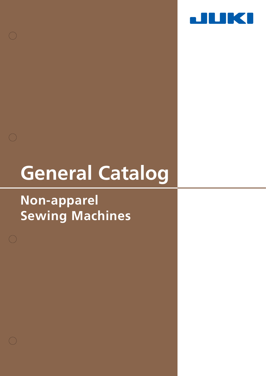

# **General Catalog**

# **Non-apparel Sewing Machines**

 $\bigcap$ 

 $\bigcap$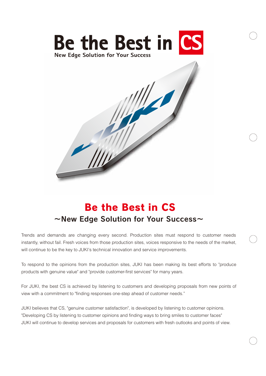



Trends and demands are changing every second. Production sites must respond to customer needs instantly, without fail. Fresh voices from those production sites, voices responsive to the needs of the market, will continue to be the key to JUKI's technical innovation and service improvements.

To respond to the opinions from the production sites, JUKI has been making its best efforts to "produce products with genuine value" and "provide customer-first services" for many years.

For JUKI, the best CS is achieved by listening to customers and developing proposals from new points of view with a commitment to "finding responses one-step ahead of customer needs."

JUKI believes that CS, "genuine customer satisfaction", is developed by listening to customer opinions. "Developing CS by listening to customer opinions and finding ways to bring smiles to customer faces" JUKI will continue to develop services and proposals for customers with fresh outlooks and points of view.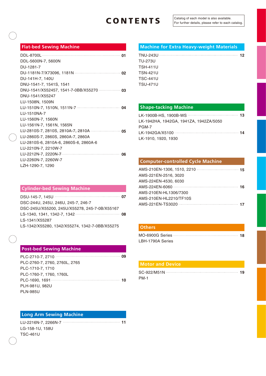| DDL-5600N-7, 5600N                      |
|-----------------------------------------|
| DU-1281-7                               |
|                                         |
| DU-141H-7, 140U                         |
| DNU-1541-7, 1541S, 1541                 |
| DNU-1541/X552457, 1541-7-0BB/X55270  03 |
| DNU-1541/X55247                         |
| LU-1508N, 1509N                         |
|                                         |
| LU-1510NA-7                             |
| LU-1560N-7, 1560N                       |
| LU-1561N-7, 1561N, 1565N                |
|                                         |
| LU-2860S-7, 2860S, 2860A-7, 2860A       |
| LU-2810S-6, 2810A-6, 2860S-6, 2860A-6   |
| LU-2210N-7, 2210W-7                     |
|                                         |
| LU-2260N-7, 2260W-7                     |
| LZH-1290-7, 1290                        |

#### **Cylinder-bed Sewing Machine**

| DSC-244U, 245U, 246U, 245-7, 246-7             |  |
|------------------------------------------------|--|
| DSC-245U/X55200, 245U/X55278, 245-7-0B/X55167  |  |
|                                                |  |
| LS-1341/X55287                                 |  |
| LS-1342/X55280, 1342/X55274, 1342-7-0BB/X55275 |  |

#### **Post-bed Sewing Machine**

| PLC-2760-7, 2760, 2760L, 2765 |  |
|-------------------------------|--|
| PLC-1710-7, 1710              |  |
| PLC-1760-7, 1760, 1760L       |  |
|                               |  |
| PLH-981U, 982U                |  |
| <b>PLN-985U</b>               |  |

### **Long Arm Sewing Machine**

| LG-158-1U, 158U |  |
|-----------------|--|
| TSC-461U        |  |

### **Flat-bed Sewing Machine <b>Machine Machine for Extra Heavy-weight Materials**

| <b>TU-273U</b>  |  |  |  |
|-----------------|--|--|--|
| <b>TSH-411U</b> |  |  |  |
| <b>TSN-421U</b> |  |  |  |
| <b>TSC-441U</b> |  |  |  |
| <b>TSU-471U</b> |  |  |  |

#### **Shape-tacking Machine**

| LK-1942HA. 1942GA. 1941ZA. 1942ZA/5050 |  |
|----------------------------------------|--|
| PGM-7                                  |  |
|                                        |  |
| LK-1910, 1920, 1930                    |  |
|                                        |  |

### **Computer-controlled Cycle Machine**

| AMS-221EN-2516, 3020   |  |
|------------------------|--|
| AMS-224EN-4530, 6030   |  |
|                        |  |
| AMS-210EN-HL1306/7300  |  |
| AMS-210EN-HL2210/TF10S |  |
|                        |  |

#### **Others**

| LBH-1790A Series |  |
|------------------|--|

#### **Motor and Device**

| <b>PM-1</b> |  |
|-------------|--|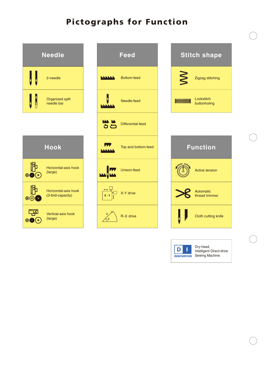# **Pictographs for Function**





Dry-head, Intelligent Direct-drive Sewing Machine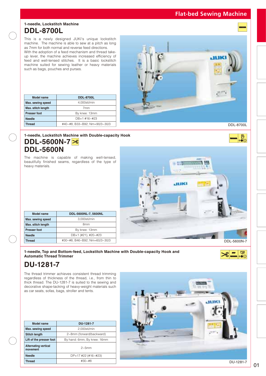### **DDL-8700L 1-needle, Lockstitch Machine**

This is a newly designed JUKI's unique lockstitch machine. The machine is able to sew at a pitch as long as 7mm for both normal and reverse feed directions.

With the adoption of a feed mechanism and thread takeup lever, the machine achieves increased efficiency of feed and well-tensed stitches. It is a basic lockstitch machine suited for sewing leather or heavy materials such as bags, pouches and purses.

| Model name          | <b>DDL-8700L</b>              |                  |
|---------------------|-------------------------------|------------------|
| Max. sewing speed   | 4,000sti/min                  |                  |
| Max. stitch length  | 7 <sub>mm</sub>               |                  |
| <b>Presser foot</b> | By knee: 13mm                 |                  |
| <b>Needle</b>       | DB×1 #16~#23                  |                  |
| <b>Thread</b>       | #40~#8, B33~B92, Nm=90/3~30/3 | <b>DDL-8700L</b> |



HIPP 80

8

 $\frac{\mathbb{B}}{\mathbb{S}}$ 

### **DDL-5600N-7 DDL-5600N 1-needle, Lockstitch Machine with Double-capacity Hook**

The machine is capable of making well-tensed, beautifully finished seams, regardless of the type of heavy materials.



| Model name          | DDL-5600NL-7, 5600NL          |
|---------------------|-------------------------------|
| Max. sewing speed   | 3,000sti/min                  |
| Max. stitch length  | 8 <sub>mm</sub>               |
| <b>Presser foot</b> | By knee: 13mm                 |
| <b>Needle</b>       | $DB \times 1$ (#21), #20~#23  |
| <b>Thread</b>       | #30~#8, B46~B92, Nm=60/3~30/3 |
|                     |                               |

**1-needle, Top and Bottom-feed, Lockstitch Machine with Double-capacity Hook and Automatic Thread Trimmer**

## **DU-1281-7**

The thread trimmer achieves consistent thread trimming regardless of thickness of the thread, i.e., from thin to thick thread. The DU-1281-7 is suited to the sewing and decorative shape-tacking of heavy-weight materials such as car seats, sofas, bags, stroller and tents.

| Model name                              | DU-1281-7                   |  |  |
|-----------------------------------------|-----------------------------|--|--|
| Max. sewing speed                       | 2.000sti/min                |  |  |
| <b>Stitch length</b>                    | 2~8mm (forward/backward)    |  |  |
| Lift of the presser foot                | By hand: 6mm, By knee: 16mm |  |  |
| <b>Alternating vertical</b><br>movement | $2\sim$ 5mm                 |  |  |
| <b>Needle</b>                           | $DPx17$ #22 (#16~#23)       |  |  |
| <b>Thread</b>                           | $\#30 - \#8$                |  |  |

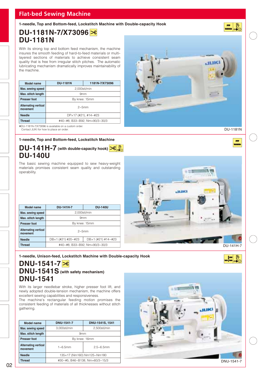**1-needle, Top and Bottom-feed, Lockstitch Machine with Double-capacity Hook**

### **DU-1181N-7/X73096 DU-1181N**

With its strong top and bottom feed mechanism, the machine insures the smooth feeding of hard-to-feed materials or multilayered sections of materials to achieve consistent seam quality that is free from irregular stitch pitches. The automatic lubricating mechanism dramatically improves maintainability of the machine.

| Model name                              | <b>DU-1181N</b>               | 1181N-7/X73096 |
|-----------------------------------------|-------------------------------|----------------|
| Max. sewing speed                       | 2,000sti/min                  |                |
| Max. stitch length                      | 9 <sub>mm</sub>               |                |
| <b>Presser foot</b>                     | By knee: 15mm                 |                |
| <b>Alternating vertical</b><br>movement | $2\sim$ 5mm                   |                |
| <b>Needle</b>                           | $DPx17$ (#21), #14~#23        |                |
| <b>Thread</b>                           | #40~#8, B33~B92, Nm=90/3~30/3 |                |

✽DU-1181N-7/X73096 is available on a custom order. Contact JUKI for how to place an order.

#### **1-needle, Top and Bottom-feed, Lockstitch Machine**

### **DU-141H-7** (with double-capacity hook)  $\frac{1}{2}$ **DU-140U**

The basic sewing machine equipped to sew heavy-weight materials promises consistent seam quality and outstanding operability.

| Model name                              | <b>DU-141H-7</b>              | <b>DU-140U</b>              |  |
|-----------------------------------------|-------------------------------|-----------------------------|--|
| Max. sewing speed                       | 2.000sti/min                  |                             |  |
| Max. stitch length                      | 9 <sub>mm</sub>               |                             |  |
| <b>Presser foot</b>                     | By knee: 15mm                 |                             |  |
| <b>Alternating vertical</b><br>movement | $2\sim$ 5mm                   |                             |  |
| <b>Needle</b>                           | $DB \times 1$ (#21) #20~#23   | $DB \times 1$ (#21) #14~#23 |  |
| <b>Thread</b>                           | #40~#8, B33~B92, Nm=90/3~30/3 |                             |  |



**1-needle, Unison-feed, Lockstitch Machine with Double-capacity Hook**

### **DNU-1541-7 DNU-1541S (with safety mechanism) DNU-1541**

With its larger needlebar stroke, higher presser foot lift, and newly adopted double-tension mechanism, the machine offers excellent sewing capabilities and responsiveness.

The machine's rectangular feeding motion promises the consistent feeding of materials of all thicknesses without stitch gathering.

| Model name                              | DNU-1541-7                     | DNU-1541S, 1541 |  |
|-----------------------------------------|--------------------------------|-----------------|--|
| Max. sewing speed                       | 3,000sti/min                   | 2.500sti/min    |  |
| Max. stitch length                      | 9 <sub>mm</sub>                |                 |  |
| <b>Presser foot</b>                     | By knee: 16mm                  |                 |  |
| <b>Alternating vertical</b><br>movement | $2.5 - 6.5$ mm<br>$1~6~5$ mm   |                 |  |
| <b>Needle</b>                           | 135×17 (Nm160) Nm125~Nm180     |                 |  |
| Thread                                  | #30~#5, B46~B138, Nm=60/3~15/3 |                 |  |





DU-1181N

**DO** 

吊

 $\begin{array}{c|c|c|c} \hline \textbf{m} & \textbf{h} \\ \hline \textbf{m} & \textbf{h} \\ \hline \textbf{m} & \textbf{h} \\ \hline \textbf{m} & \textbf{h} \\ \hline \textbf{m} & \textbf{h} \\ \hline \textbf{m} & \textbf{h} \\ \hline \textbf{m} & \textbf{h} \\ \hline \textbf{m} & \textbf{h} \\ \hline \textbf{m} & \textbf{h} \\ \hline \textbf{m} & \textbf{h} \\ \hline \textbf{m} & \textbf{h} \\ \hline \textbf{m} & \textbf{h} \\ \hline$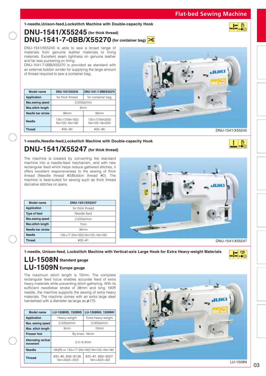#### **1-needle,Unison-feed,Lockstitch Machine with Double-capacity Hook**

### **DNU-1541/X55245 (for thick thread) DNU-1541-7-0BB/X55270 (for container bag)**

DNU-1541/X55245 is able to sew a broad range of materials from genuine leather materials to lining materials. Excellent seam tightness on genuine leather and far less puckering on lining.

DNU-1541-7-0BB/X55270 is provided as standard with an external bobbin winder for supplying the large amount of thread required to sew a container bag.

| Model name               | DNU-1541/X55245              | DNU-1541-7-0BB/X55270        |  |
|--------------------------|------------------------------|------------------------------|--|
| <b>Application</b>       | for thick thread             | for container bag            |  |
| <b>Max.sewing speed</b>  | 2,000sti/min                 |                              |  |
| <b>Max.stitch length</b> | 9 <sub>mm</sub>              |                              |  |
| Needle bar stroke        | 38 <sub>mm</sub><br>36mm     |                              |  |
| <b>Needle</b>            | 135×17(Nm160)<br>Nm125~Nm180 | 135×17(Nm200)<br>Nm125~Nm200 |  |
| <b>Thread</b>            | $#30 - #0$<br>$#30 - #5$     |                              |  |



DNU-1541/X55245

 $\frac{1}{2}$ 

**1-needle,Needle-feed,Lockstitch Machine with Double-capacity Hook**

### **DNU-1541/X55247 (for thick thread)**

The machine is created by converting the standard machine into a needle-feed mechanism, and with new rectangular feed which helps reduce gathered stitches, it offers excellent responsiveness to the sewing of thick thread (Needle thread #0/Bobbin thread #0). The machine is best-suited for sewing such as thick thread decrative stitches on jeans.

| Model name               | DNU-1541/X55247            |  |
|--------------------------|----------------------------|--|
| <b>Application</b>       | for thick thread           |  |
| <b>Type of feed</b>      | Needle feed                |  |
| <b>Max.sewing speed</b>  | 2,500sti/min               |  |
| <b>Max.stitch length</b> | 7 <sub>mm</sub>            |  |
| Needle bar stroke        | 36mm                       |  |
| <b>Needle</b>            | 135×17 (Nm160) Nm125~Nm180 |  |
| <b>Thread</b>            | $#30 - #1$                 |  |



DNU-1541/X55247

**1-needle, Unison-feed, Lockstitch Machine with Vertical-axis Large Hook for Extra Heavy-weight Materials**



### **LU-1508N Standard gauge LU-1509N Europe gauge**

The maximum stitch length is 10mm. The complete rectangular feed locus enables accurate feed of extra heavy materials while preventing stitch gathering. With its sufficient needlebar stroke of 38mm and long 190R needle, the machine supports the sewing of extra heavy materials. The machine comes with an extra large steel handwheel with a diameter as large as φ175.

| Model name                              | LU-1508NS, 1509NS<br>LU-1508NH, 1509NH     |                                    |  |
|-----------------------------------------|--------------------------------------------|------------------------------------|--|
| <b>Application</b>                      | Heavy-weight                               | Extra heavy-weight                 |  |
| Max. sewing speed                       | 2,500sti/min                               | 2.000sti/min                       |  |
| Max. stitch length                      | 10 <sub>mm</sub><br>9 <sub>mm</sub>        |                                    |  |
| <b>Presser foot</b>                     | By knee: 16mm                              |                                    |  |
| <b>Alternating vertical</b><br>movement | $2.5 - 6.5$ mm                             |                                    |  |
| <b>Needle</b>                           | 190(R) or 135×17 (Nm160) Nm125~Nm180       |                                    |  |
| <b>Thread</b>                           | #30~#5, B46~B138,<br>$Nm = 60/3 \sim 20/3$ | #20~#1, B69~B207,<br>$Nm=40/3~8/3$ |  |



03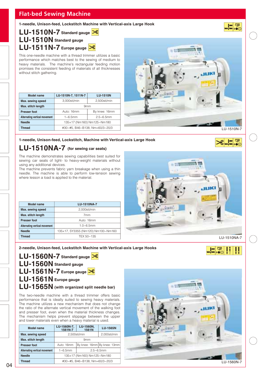**1-needle, Unison-feed, Lockstitch Machine with Vertical-axis Large Hook**

**LU-1510N-7 Standard gauge LU-1510N Standard gauge LU-1511N-7 Europe gauge**

This one-needle machine with a thread trimmer utilizes a basic performance which matches best to the sewing of medium to heavy materials. The machine's rectangular feeding motion promises the consistent feeding of materials of all thicknesses without stitch gathering.

| Model name                    | LU-1510N-7, 1511N-7            | <b>LU-1510N</b> |
|-------------------------------|--------------------------------|-----------------|
| Max. sewing speed             | 3,000sti/min                   | 2,500sti/min    |
| Max. stitch length            |                                | 9 <sub>mm</sub> |
| <b>Presser foot</b>           | Auto: 16mm                     | By knee: 16mm   |
| Alternating vertical movement | $1 - 6.5$ mm<br>$2.5 - 6.5$ mm |                 |
| <b>Needle</b>                 | 135×17 (Nm160) Nm125~Nm180     |                 |
| <b>Thread</b>                 | #30~#5, B46~B138, Nm=60/3~20/3 |                 |



**1-needle, Unison-feed, Lockstitch, Machine with Vertical-axis Large Hook**

### **LU-1510NA-7 (for sewing car seats)**

The machine demonstrates sewing capabilities best suited for sewing car seats of light- to heavy-weight materials without using any additional devices.

The machine prevents fabric yarn breakage when using a thin needle. The machine is able to perform low-tension sewing where lesson a load is applied to the material.

| Model name                    | <b>LU-1510NA-7</b>                 |
|-------------------------------|------------------------------------|
| Max. sewing speed             | 2.000sti/min                       |
| Max. stitch length            | 7 <sub>mm</sub>                    |
| <b>Presser foot</b>           | Auto: 16mm                         |
| Alternating vertical movement | $1.0 - 6.5$ mm                     |
| <b>Needle</b>                 | 135×17, SY3355 (Nm120) Nm100~Nm160 |
| <b>Thread</b>                 | TEX 50~135                         |



#### **2-needle, Unison-feed, Lockstitch Machine with Vertical-axis Large Hooks**



FRI®®

lm 로

**LU-1560N-7 Standard gauge LU-1560N Standard gauge LU-1561N-7 Europe gauge LU-1561N Europe gauge LU-1565N (with organized split needle bar)**

The two-needle machine with a thread trimmer offers basic performance that is ideally suited to sewing heavy materials. The machine utilizes a new mechanism that does not change the ratio of the alternate vertical movement of the walking foot and presser foot, even when the material thickness changes. The mechanism helps prevent slippage between the upper and lower materials even when a heavy material is used.

| Model name                    | LU-1560N-7,<br>1561N-7         | LU-1560N,<br>1561N         | <b>LU-1565N</b>             |
|-------------------------------|--------------------------------|----------------------------|-----------------------------|
| Max. sewing speed             |                                | 2,500sti/min               | 2,000sti/min                |
| Max. stitch length            |                                | 9 <sub>mm</sub>            |                             |
| <b>Presser foot</b>           | Auto: 16mm                     |                            | By knee: 16mm By knee: 13mm |
| Alternating vertical movement | $1 - 6.5$ mm                   | $2.5 - 6.5$ mm             |                             |
| <b>Needle</b>                 |                                | 135×17 (Nm160) Nm125~Nm180 |                             |
| <b>Thread</b>                 | #30~#5, B46~B138, Nm=60/3~20/3 |                            |                             |

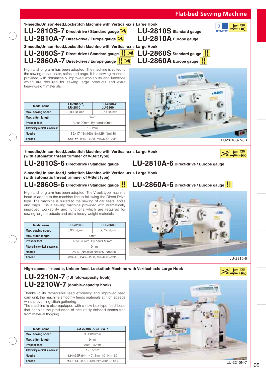| $LU-2810A-7$ Direct-drive / Europe gauge $\geq 8$                                                                                                                                                                                                                                                                                                                                                                               |                           | 1-needle, Unison-feed, Lockstitch Machine with Vertical-axis Large Hook<br>LU-2810S-7 Direct-drive / Standard gauge $\frac{8}{5}$                                                    | 中<br><b>AN AN OO (O)</b><br>LU-2810S Standard gauge<br><b>INNOVATION</b><br>LU-2810A Europe gauge |
|---------------------------------------------------------------------------------------------------------------------------------------------------------------------------------------------------------------------------------------------------------------------------------------------------------------------------------------------------------------------------------------------------------------------------------|---------------------------|--------------------------------------------------------------------------------------------------------------------------------------------------------------------------------------|---------------------------------------------------------------------------------------------------|
|                                                                                                                                                                                                                                                                                                                                                                                                                                 |                           | 2-needle, Unison-feed, Lockstitch Machine with Vertical-axis Large Hook<br>LU-2860S-7 Direct-drive / Standard gauge   $\sqrt{8}$<br>$LU-2860A-7$ Direct-drive / Europe gauge $  \gg$ | $LU-2860S$ Standard gauge<br>$LU-2860A$ Europe gauge                                              |
| High and long arm has been adopted. The machine is suited to<br>the sewing of car seats, sofas and bags. It is a sewing machine<br>provided with dramatically improved workability and functions<br>which are required for sewing large products and extra<br>heavy-weight materials.                                                                                                                                           |                           |                                                                                                                                                                                      |                                                                                                   |
| <b>Model name</b>                                                                                                                                                                                                                                                                                                                                                                                                               | LU-2810-7,<br>LU-2810     | LU-2860-7,<br><b>LU-2860</b>                                                                                                                                                         |                                                                                                   |
| Max. sewing speed                                                                                                                                                                                                                                                                                                                                                                                                               | 3,000sti/min              | 2,700sti/min                                                                                                                                                                         |                                                                                                   |
| Max. stitch length                                                                                                                                                                                                                                                                                                                                                                                                              |                           | 9 <sub>mm</sub>                                                                                                                                                                      |                                                                                                   |
| <b>Presser foot</b>                                                                                                                                                                                                                                                                                                                                                                                                             |                           | Auto: 20mm, By hand:10mm                                                                                                                                                             |                                                                                                   |
| Alternating vertical movement                                                                                                                                                                                                                                                                                                                                                                                                   |                           | $1 - 9$ mm                                                                                                                                                                           |                                                                                                   |
| <b>Needle</b>                                                                                                                                                                                                                                                                                                                                                                                                                   |                           | 135×17 (Nm160) Nm125~Nm180                                                                                                                                                           |                                                                                                   |
| <b>Thread</b>                                                                                                                                                                                                                                                                                                                                                                                                                   |                           | #30~#5, B46~B138, Mn=60/3~20/3                                                                                                                                                       | LU-2810S-7-0B                                                                                     |
| (with automatic thread trimmer of V-Belt type)<br>LU-2810S-6 Direct-drive / Standard gauge                                                                                                                                                                                                                                                                                                                                      |                           |                                                                                                                                                                                      |                                                                                                   |
| (with automatic thread trimmer of V-Belt type)<br>LU-2860S-6 Direct-drive / Standard gauge                                                                                                                                                                                                                                                                                                                                      |                           | 2-needle, Unison-feed, Lockstitch Machine with Vertical-axis Large Hook                                                                                                              | LU-2810A-6 Direct-drive / Europe gauge<br>LU-2860A-6 Direct-drive / Europe gauge                  |
| High and long arm has been adopted. The V-belt type machine<br>head is added to the machine lineup following the Direct-Drive<br>type. The machine is suited to the sewing of car seats, sofas<br>and bags. It is a sewing machine provided with dramatically<br>improved workability and functions which are required for<br>sewing large products and extra heavy-weight materials.<br><b>Model name</b><br>Max. sewing speed | LU-2810-6<br>3,000sti/min | LU-2860-6<br>2,700sti/min                                                                                                                                                            |                                                                                                   |
| Max. stitch length                                                                                                                                                                                                                                                                                                                                                                                                              |                           | 9 <sub>mm</sub>                                                                                                                                                                      |                                                                                                   |
| Presser foot                                                                                                                                                                                                                                                                                                                                                                                                                    |                           | Auto: 20mm, By hand:10mm                                                                                                                                                             |                                                                                                   |
| Alternating vertical movement                                                                                                                                                                                                                                                                                                                                                                                                   |                           | $1 - 9$ mm                                                                                                                                                                           |                                                                                                   |
| Needle<br><b>Thread</b>                                                                                                                                                                                                                                                                                                                                                                                                         |                           | 135×17 (Nm160) Nm125~Nm180<br>#30~#5, B46~B138, Mn=60/3~20/3                                                                                                                         | LU-2810-6                                                                                         |

**High-speed, 1-needle, Unison-feed, Lockstitch Machine with Vertical-axis Large Hook**

### **LU-2210N-7 (1.6 fold-capacity hook) LU-2210W-7 (double-capacity hook)**

Thanks to its remarkable feed efficiency and improved feed cam unit, the machine smoothly feeds materials at high speeds while preventing stitch gathering.

The machine is also equipped with a new box-type feed locus that enables the production of beautifully finished seams free from material flopping.

| Model name                    | LU-2210N-7, 2210W-7            |  |
|-------------------------------|--------------------------------|--|
| Max. sewing speed             | 3,500sti/min                   |  |
| Max. stitch length            | 9 <sub>mm</sub>                |  |
| <b>Presser foot</b>           | Auto: 16mm                     |  |
| Alternating vertical movement | $1 - 6.5$ mm                   |  |
| <b>Needle</b>                 | 134×35R (Nm140), Nm110~Nm160   |  |
| <b>Thread</b>                 | #30~#4, B46~B138, Nm=60/3~20/3 |  |

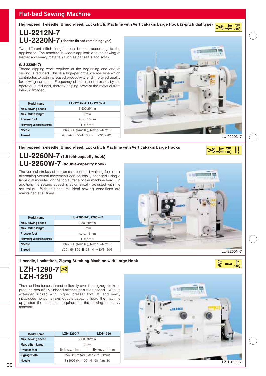**High-speed, 1-needle, Unison-feed, Lockstitch, Machine with Vertical-axis Large Hook (2-pitch dial type)**

### **LU-2212N-7 LU-2220N-7 (shorter thread remaining type)**

Two different stitch lengths can be set according to the application. The machine is widely applicable to the sewing of leather and heavy materials such as car seats and sofas.

#### **(LU-2220N-7)**

Thread nipping work required at the beginning and end of sewing is reduced. This is a high-performance machine which contributes to both increased productivity and improved quality for sewing car seats. Frequency of the use of scissors by the operator is reduced, thereby helping prevent the material from being damaged.

| Model name                    | LU-2212N-7, LU-2220N-7         |  |
|-------------------------------|--------------------------------|--|
| Max. sewing speed             | 3,500sti/min                   |  |
| Max. stitch length            | 9 <sub>mm</sub>                |  |
| <b>Presser foot</b>           | Auto: 16mm                     |  |
| Alternating vertical movement | $1~6~5$ mm                     |  |
| <b>Needle</b>                 | 134×35R (Nm140), Nm110~Nm160   |  |
| Thread                        | #30~#4, B46~B138, Nm=60/3~20/3 |  |



 $\begin{picture}(120,10) \put(0,0){\line(1,0){10}} \put(15,0){\line(1,0){10}} \put(15,0){\line(1,0){10}} \put(15,0){\line(1,0){10}} \put(15,0){\line(1,0){10}} \put(15,0){\line(1,0){10}} \put(15,0){\line(1,0){10}} \put(15,0){\line(1,0){10}} \put(15,0){\line(1,0){10}} \put(15,0){\line(1,0){10}} \put(15,0){\line(1,0){10}} \put(15,0){\line($ 

E<sup>®</sup>

阠  $\circ$   $\circ$ 

#### **High-speed, 2-needle, Unison-feed, Lockstitch Machine with Vertical-axis Large Hooks**

### **LU-2260N-7 (1.6 fold-capacity hook) LU-2260W-7 (double-capacity hook)**

The vertical strokes of the presser foot and walking foot (their alternating vertical movement) can be easily changed using a large dial mounted on the top surface of the machine head. In addition, the sewing speed is automatically adjusted with the set value. With this feature, ideal sewing conditions are maintained at all times.

| Model name                    | LU-2260N-7, 2260W-7            |
|-------------------------------|--------------------------------|
| Max. sewing speed             | 3.500sti/min                   |
| Max. stitch length            | 6 <sub>mm</sub>                |
| <b>Presser foot</b>           | Auto: 16mm                     |
| Alternating vertical movement | $1 - 6.5$ mm                   |
| <b>Needle</b>                 | 134×35R (Nm140), Nm110~Nm160   |
| Thread                        | #20~#5, B69~B138, Nm=40/3~20/3 |



#### **1-needle, Lockstitch, Zigzag Stitching Machine with Large Hook**

### **LZH-1290-7 LZH-1290**

The machine tenses thread uniformly over the zigzag stroke to produce beautifully finished stitches at a high speed. With its extended zigzag with, higher presser foot lift, and newly introduced horizontal-axis double-capacity hook, the machine upgrades the functions required for the sewing of heavy materials.

| Model name          | LZH-1290-7                    | <b>LZH-1290</b> |
|---------------------|-------------------------------|-----------------|
| Max. sewing speed   | 2.000sti/min                  |                 |
| Max. stitch length  | 6 <sub>mm</sub>               |                 |
| <b>Presser foot</b> | By knee: 11mm                 | By knee: 14mm   |
| Zigzag width        | Max. 8mm (adjustable to 10mm) |                 |
| <b>Needle</b>       | SY1906 (Nm100) Nm90~Nm110     |                 |

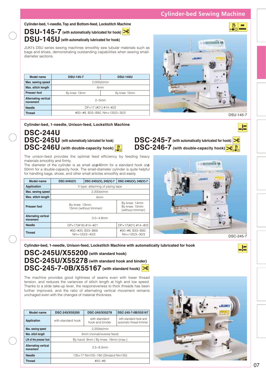**Cylinder-bed, 1-needle, Top and Bottom-feed, Lockstitch Machine**

DSU-145-7 (with automatically lubricated for hook)

### **DSU-145U (with automatically lubricated for hook)**

JUKI's DSU series sewing machines smoothly sew tubular materials such as bags and shoes, demonstrating outstanding capabilities when sewing smalldiameter sections.

| Model name                              | <b>DSU-145-7</b>               | <b>DSU-145U</b> |  |
|-----------------------------------------|--------------------------------|-----------------|--|
| Max. sewing speed                       | 2,000sti/min                   |                 |  |
| Max. stitch length                      | 6 <sub>mm</sub>                |                 |  |
| <b>Presser foot</b>                     | By knee: 13mm<br>By knee: 15mm |                 |  |
| <b>Alternating vertical</b><br>movement | $2\nu$ -5mm                    |                 |  |
| <b>Needle</b>                           | $DPx17$ (#21) #14~#22          |                 |  |
| <b>Thread</b>                           | #50~#8, B33~B92, Nm=120/3~30/3 |                 |  |



DSC-245-7 (with automatically lubricated for hook) **DSC-246-7** (with double-capacity hook)  $\frac{1}{2}$ 

 $\frac{1}{\sqrt{2\pi}}\sqrt{\frac{1}{2\pi}}$ 

**PPP** 

**Cylinder-bed, 1-needle, Unison-feed, Lockstitch Machine**

### **DSC-244U DSC-245U (with automatically lubricated for hook) DSC-246U** (with double-capacity hook)

The unison-feed provides the optimal feed efficiency by feeding heavy materials smoothly and firmly.

The diameter of the cylinder is as small as $\phi$ 46mm for a standard hook or $\phi$ 50mm for a double-capacity hook. The small-diameter cylinder is quite helpful for handling bags, shoes, and other small articles smoothly and easily.

| Model name                              | <b>DSC-244U(V)</b>                       | DSC-245U(V), 245(V)-7                   | DSC-246U(V), 246(V)-7                               |
|-----------------------------------------|------------------------------------------|-----------------------------------------|-----------------------------------------------------|
| <b>Application</b>                      | V type: attaching of piping tape         |                                         |                                                     |
| Max. sewing speed                       | 2,200sti/min                             |                                         |                                                     |
| Max. stitch length                      | 6mm                                      |                                         |                                                     |
| <b>Presser foot</b>                     | By knee: 13mm,<br>15mm (without trimmer) |                                         | By knee: 14mm<br>By knee: 15mm<br>(without trimmer) |
| <b>Alternating vertical</b><br>movement | $3.0 - 4.8$ mm                           |                                         |                                                     |
| <b>Needle</b>                           | DPx17(#18) #14~#21                       |                                         | $DPx17(#21)$ #14~#23                                |
| <b>Thread</b>                           |                                          | #50~#20, B33~B69,<br>$Nm=120/3\sim40/3$ | #50~#8, B33~B92,<br>$Nm = 120/3 \sim 30/3$          |



**Cylinder-bed, 1-needle, Unison-feed, Lockstitch Machine with automatically lubricated for hook**

### **DSC-245U/X55200 (with standard hook) DSC-245U/X55278 (with standard hook and binder) DSC-245-7-0B/X55167 (with standard hook)**

The machine provides good tightness of seams even with lower thread tension, and reduces the variances of stitch length at high and low speed. Thanks to a slide take-up lever, the responsiveness to thick threads has been further improved, and the ratio of alternating vertical movement remains unchaged even with the changes of material thickness.

| <b>Model name</b>                       | DSC-245/X55200                      | DSC-245/X55278                   | DSC-245-7-0B/X55167                                |
|-----------------------------------------|-------------------------------------|----------------------------------|----------------------------------------------------|
| Application                             | with standard hook                  | with standard<br>hook and binder | with standard hook and<br>automatic thread trimmer |
| Max. sewing speed                       | 2.200sti/min                        |                                  |                                                    |
| Max. stitch length                      | 6mm (nomal/reverse feed)            |                                  |                                                    |
| Lift of the presser foot                | By hand: 9mm / By knee: 16mm (max.) |                                  |                                                    |
| <b>Alternating vertical</b><br>movement | $2.5 - 6.5$ mm                      |                                  |                                                    |
| <b>Needle</b>                           | 135×17 Nm100~180 (Stndard Nm130)    |                                  |                                                    |
| <b>Thread</b>                           | $#50 - #8$                          |                                  |                                                    |

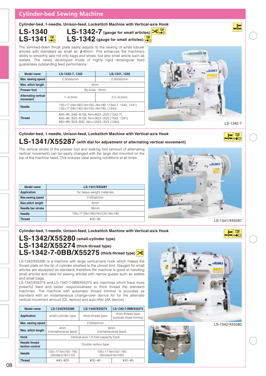### **Cylinder-bed Sewing Machine**

**Cylinder-bed, 1-needle, Unison-feed, Lockstitch Machine with Vertical-axis Hook**

**LS-1340** LS-1341<sup></sup>

**LS-1342-7** (gauge for small articles)  $\frac{8}{60}$ **LS-1342** (gauge for small articles)

The slimmed-down throat plate easily adjusts to the sewing of small tubular articles with diameters as small as  $\phi$  40mm. This enhances the machine's ability to smoothly sew not only bags and shoes, but also small article such as wallets. The newly developed mode of highly rigid rectangular feed guarantees outstanding feed performance.

| <b>Model name</b>                       | LS-1342-7, 1342                                                                                                                 | LS-1341, 1340  |  |
|-----------------------------------------|---------------------------------------------------------------------------------------------------------------------------------|----------------|--|
| Max. sewing speed                       | 2.500sti/min                                                                                                                    | 2.000sti/min   |  |
| Max. stitch length                      | 6 <sub>mm</sub>                                                                                                                 |                |  |
| <b>Presser foot</b>                     | By knee: 16mm                                                                                                                   |                |  |
| <b>Alternating vertical</b><br>movement | $1 - 6.5$ mm                                                                                                                    | $2.5 - 6.5$ mm |  |
| <b>Needle</b>                           | 135×17 (Nm160) Nm100~Nm180: (1342-7, 1342, 1341)<br>135×17 (Nm140) Nm100~Nm180: (1340)                                          |                |  |
| <b>Thread</b>                           | #30~#5, B46~B138, Nm=60/3~20/3 (1342-7)<br>#40~#5, B33~B138, Nm=90/3~20/3 (1342, 1341)<br>#50~#8, B33~B92, Nm=120/3~30/3 (1340) |                |  |



F. So

 $\overline{\mathbb{F}}$ ™ ⊚⊜ ⊙

**Cylinder-bed, 1-needle, Unison-feed, Lockstitch Machine with Vertical-axis Hook**

## **LS-1341/X55287 (with dial for adjustment of alternating vertical movement)**

The vertical stroke of the presser foot and walking foot (amount of alternating vertical movement) can be easily changed with the large dial mounted on the top of the machine head. This ensures ideal sewing conditions at all times.

| Model name               | LS-1341/X55287             |  |
|--------------------------|----------------------------|--|
| <b>Application</b>       | for heavy-weight materials |  |
| <b>Max.sewing speed</b>  | 2,000sti/min               |  |
| <b>Max.stitch length</b> | 6 <sub>mm</sub>            |  |
| Needle bar stroke        | 36mm                       |  |
| <b>Needle</b>            | 135×17 (Nm160) Nm125~Nm180 |  |
| <b>Thread</b>            | $#30 - #5$                 |  |



**Cylinder-bed, 1-needle, Unison-feed, Lockstitch Machine with Vertical-axis Hook**

### **LS-1342/X55280 (small-cylinder type) LS-1342/X55274 (thick-thread type) LS-1342-7-0BB/X55275 (thick-thread type)**

LS-1342/X55280 is a machine with large vertical-axis hook which makes the throad plate on the tip of cylinder smallest to the utmost limit. Gauges for small articles are equipped as standard, therefore the machine is good at handling small articles and ideal for sewing articles with narrow gusset such as wallets and small bags.

LS-1342/X55274 and LS-1342-7-0BB/X55275 are machines which have more powerful feed and better responsiveness to thick thread the standard machines. The machine with automatic thread trimmer is provided as standard with an instantaneous change-over device for for the alternate vertical movement amount (DL device) and auto-lifter (AK device).

| <b>Model name</b>                | LS-1342/X55280                                                                     | LS-1342/X55274    | LS-1342-7-0BB/X55275                             |
|----------------------------------|------------------------------------------------------------------------------------|-------------------|--------------------------------------------------|
| <b>Application</b>               | small-cylinder type                                                                | thick-thread type | thick-thread type<br>(automatic thread trimming) |
| Max. sewing speed                | 2.000sti/min                                                                       |                   |                                                  |
| Max. stitch length               | 6 <sub>mm</sub><br>4 <sub>mm</sub><br>(nomal/reverse feed)<br>(nomal/reverse feed) |                   |                                                  |
| <b>Hook</b>                      | Vertical-axis 1.6 fold-capacity hook                                               |                   |                                                  |
| Needle thread<br>tention control | Double tention type                                                                |                   |                                                  |
| <b>Needle</b>                    | 135×17 Nm100~160<br>135×17 Nm100~180<br>(Stndard Nm110)<br>(Stndard Nm160)         |                   |                                                  |
| <b>Thread</b>                    | $#40 - #20$                                                                        | $#20 - #0$        | $#30 - #5$                                       |

LS-1342/X55280

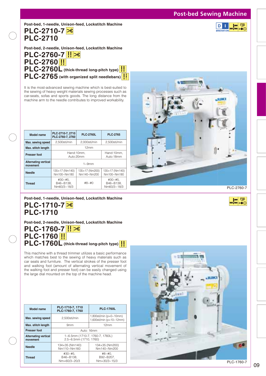### **Post-bed Sewing Machine**

同国

**PLC-2710-7 PLC-2710 Post-bed, 1-needle, Unison-feed, Lockstitch Machine**

**Post-bed, 2-needle, Unison-feed, Lockstitch Machine**

**PLC-2760-7**

**PLC-2760 PLC-2760L (thick-thread long-pitch type) PLC-2765 (with organized split needlebars)**

It is the most-advanced sewing machine which is best-suited to the sewing of heavy weight materials sewing processes such as car-seats, sofas and sports goods. The long distance from the machine arm to the needle contributes to improved workability.

| Model name                              | PLC-2710-7, 2710<br>PLC-2760-7, 2760                  | <b>PLC-2760L</b>              | <b>PLC-2765</b>                         |
|-----------------------------------------|-------------------------------------------------------|-------------------------------|-----------------------------------------|
| Max. sewing speed                       | 2,500sti/min                                          | 2,000sti/min                  | 2,500sti/min                            |
| Max. stitch length                      | 12mm                                                  |                               |                                         |
| <b>Presser foot</b>                     | Hand: 10mm.<br>Hand: 10mm.<br>Auto: 18mm<br>Auto:20mm |                               |                                         |
| <b>Alternating vertical</b><br>movement | $1 - 9$ mm                                            |                               |                                         |
| <b>Needle</b>                           | 135×17 (Nm140)<br>Nm100~Nm180                         | 135×17 (Nm200)<br>Nm140~Nm200 | 135×17 (Nm140)<br>Nm100~Nm180           |
| <b>Thread</b>                           | $#30 - #5.$<br>B46~B138,<br>Nm60/3~18/3               | $#8 - #0$                     | $#30 - #5.$<br>B46~B138.<br>Nm60/3~18/3 |



PLC-2760-7

**ED** 

### **PLC-1710-7 PLC-1710 Post-bed, 1-needle, Unison-feed, Lockstitch Machine**

**Post-bed, 2-needle, Unison-feed, Lockstitch Machine**

### **PLC-1760-7 PLC-1760 PLC-1760L (thick-thread long-pitch type)**

This machine with a thread trimmer utilizes a basic performance which matches best to the sewing of heavy materials such as car seats and furniture. The vertical strokes of the presser foot and walking foot (amount of alternating vertical movement of the walking foot and presser foot) can be easily changed using the large dial mounted on the top of the machine head.

| <b>Model name</b>                       | PLC-1710-7, 1710<br>PLC-1760-7, 1760                      | <b>PLC-1760L</b>                                        |  |
|-----------------------------------------|-----------------------------------------------------------|---------------------------------------------------------|--|
| Max. sewing speed                       | 2.500sti/min                                              | 1,800sti/min ( $p=0$ ~10mm)<br>1,600sti/min (p=10~12mm) |  |
| Max. stitch length                      | 9 <sub>mm</sub>                                           | 12mm                                                    |  |
| <b>Presser foot</b>                     | Auto: 16mm                                                |                                                         |  |
| <b>Alternating vertical</b><br>movement | 1~6.5mm (1710-7, 1760-7, 1760L)<br>2.5~6.5mm (1710, 1760) |                                                         |  |
| <b>Needle</b>                           | 134×35 (Nm140)<br>Nm110~Nm160                             | 134×35 (Nm200)<br>Nm140~Nm200                           |  |
| <b>Thread</b>                           | $#30 - #5.$<br>B46~B138.<br>Nm=60/3~20/3                  | $#8 - #0.$<br>B92~B207.<br>$Nm = 30/3 \sim 15/3$        |  |

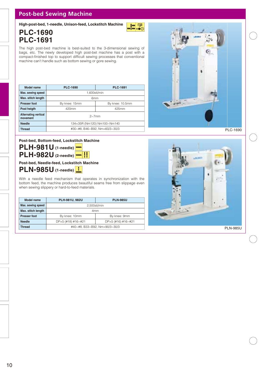### **Post-bed Sewing Machine**

**High-post-bed, 1-needle, Unison-feed, Lockstitch Machine**

**PLC-1690 PLC-1691** 

W₩®

The high post-bed machine is best-suited to the 3-dimensional sewing of bags, etc. The newly developed high post-bet machine has a post with a compact-finished top to support difficult sewing processes that conventional machine can't handle such as bottom sewing or gore sewing.

| Model name                              | <b>PLC-1690</b><br><b>PLC-1691</b> |       |  |
|-----------------------------------------|------------------------------------|-------|--|
| Max. sewing speed                       | 1.600sti/min                       |       |  |
| Max. stitch length                      | 6 <sub>mm</sub>                    |       |  |
| <b>Presser foot</b>                     | By knee: 15mm<br>By knee: 10.5mm   |       |  |
| Post heigth                             | 420mm                              | 425mm |  |
| <b>Alternating vertical</b><br>movement | $2\sim$ 7mm                        |       |  |
| <b>Needle</b>                           | 134×35R (Nm120) Nm100~Nm140        |       |  |
| <b>Thread</b>                           | #30~#8, B46~B92, Nm=60/3~30/3      |       |  |

PLC-1690

### **PLH-981U (1-needle) Post-bed, Bottom-feed, Lockstitch Machine**

**PLH-982U (2-needle)** 

### **PLN-985U (1-needle) Post-bed, Needle-feed, Lockstitch Machine**

With a needle feed mechanism that operates in synchronization with the bottom feed, the machine produces beautiful seams free from slippage even when sewing slippery or hard-to-feed materials.

| Model name          | PLH-981U, 982U                               | <b>PLN-985U</b> |
|---------------------|----------------------------------------------|-----------------|
| Max. sewing speed   | 2.500sti/min                                 |                 |
| Max. stitch length  | 4 <sub>mm</sub>                              |                 |
| <b>Presser foot</b> | By knee: 10mm<br>By knee: 9mm                |                 |
| <b>Needle</b>       | $DPx5$ (#18) #16~#21<br>$DPx5$ (#16) #16~#21 |                 |
| <b>Thread</b>       | #40~#8, B33~B92, Nm=90/3~30/3                |                 |

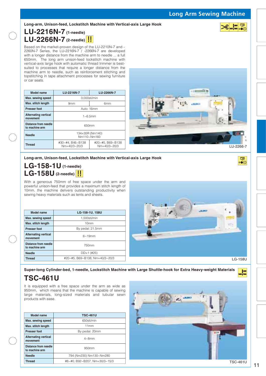**Long Arm Sewing Machine** 

军

军  $\circ\bullet\circ$ 

#### **Long-arm, Unison-feed, Lockstitch Machine with Vertical-axis Large Hook**

### **LU-2216N-7 (1-needle) LU-2266N-7 (2-needle)**

Based on the market-proven design of the LU-2210N-7 and - 2260N-7 Series, the LU-2216N-7 / -2266N-7 are developed with a longer distance from the machine arm to needle ... a full 650mm. The long arm unison-feed lockstitch machine with vertical-axis large hook with automatic thread trimmer is bestsuited to processes that require a longer distance from the machine arm to needle, such as reinforcement stitching and topstitching in tape attachment processes for sewing furniture or car seats.

| <b>Model name</b>                       | LU-2216N-7                              | LU-2266N-7                              |  |  |
|-----------------------------------------|-----------------------------------------|-----------------------------------------|--|--|
| Max. sewing speed                       | 3.000sti/min                            |                                         |  |  |
| Max. stitch length                      | 9 <sub>mm</sub><br>6mm                  |                                         |  |  |
| <b>Presser foot</b>                     | Auto: 16mm                              |                                         |  |  |
| <b>Alternating vertical</b><br>movement | $1~6~5$ mm                              |                                         |  |  |
| Distance from needle<br>to machine arm  | 650mm                                   |                                         |  |  |
| <b>Needle</b>                           | 134×35R (Nm140)<br>Nm110~Nm160          |                                         |  |  |
| <b>Thread</b>                           | #30~#4, B46~B138<br>$Nm=40/3 \sim 20/3$ | #20~#5, B69~B138<br>$Nm=40/3 \sim 20/3$ |  |  |



**Long-arm, Unison-feed, Lockstitch Machine with Vertical-axis Large Hook**

### **LG-158-1U (1-needle) LG-158U (2-needle)**

With a generous 750mm of free space under the arm and powerful unison-feed that provides a maximum stitch length of 10mm, the machine delivers outstanding productivity when sewing heavy materials such as tents and sheets.

| Model name                              | LG-158-1U, 158U                |  |
|-----------------------------------------|--------------------------------|--|
| Max. sewing speed                       | 1.500sti/min                   |  |
| Max. stitch length                      | 10 <sub>mm</sub>               |  |
| <b>Presser foot</b>                     | By pedal: 21.5mm               |  |
| <b>Alternating vertical</b><br>movement | $6 - 19$ mm                    |  |
| Distance from needle<br>to machine arm  | 750mm                          |  |
| <b>Needle</b>                           | $DD\times1$ (#25)              |  |
| <b>Thread</b>                           | #20~#5, B69~B138, Nm=40/3~20/3 |  |



**Super-long Cylinder-bed, 1-needle, Lockstitch Machine with Large Shuttle-hook for Extra Heavy-weight Materials**

### **TSC-461U**

It is equipped with a free space under the arm as wide as 950mm, which means that the machine is capable of sewing large materials, long-sized materials and tubular sewn products with ease.

| Model name                                    | <b>TSC-461U</b>               |  |
|-----------------------------------------------|-------------------------------|--|
| Max. sewing speed                             | 650sti/min                    |  |
| Max. stitch length                            | 11mm                          |  |
| <b>Presser foot</b>                           | By pedal: 20mm                |  |
| <b>Alternating vertical</b><br>movement       | $4\sim$ 8mm                   |  |
| <b>Distance from needle</b><br>to machine arm | 950mm                         |  |
| <b>Needle</b>                                 | 794 (Nm230) Nm130~Nm280       |  |
| <b>Thread</b>                                 | #8~#0, B92~B207, Nm=30/3~15/3 |  |

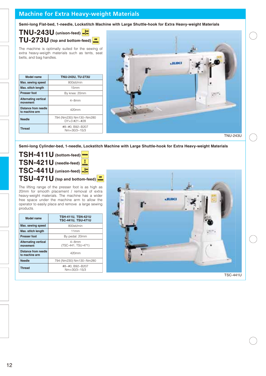### **Machine for Extra Heavy-weight Materials**

**Semi-long Flat-bed, 1-needle, Lockstitch Machine with Large Shuttle-hook for Extra Heavy-weight Materials**

**TNU-243U (unison-feed) TU-273U (top and bottom-feed)** 

The machine is optimally suited for the sewing of extra heavy-weigth materials such as tents, seat belts, and bag handles.

| Model name                              | TNU-243U, TU-273U                                |  |
|-----------------------------------------|--------------------------------------------------|--|
| Max. sewing speed                       | 800sti/min                                       |  |
| Max. stitch length                      | 15mm                                             |  |
| <b>Presser foot</b>                     | By knee: 20mm                                    |  |
| <b>Alternating vertical</b><br>movement | $4\sim$ 8mm                                      |  |
| Distance from needle<br>to machine arm  | 420mm                                            |  |
| <b>Needle</b>                           | 794 (Nm230) Nm130~Nm280<br>$DY \times 3$ #21~#28 |  |
| <b>Thread</b>                           | #8~#0, B92~B207<br>$Nm = 30/3 \sim 15/3$         |  |



TNU-243U

**Semi-long Cylinder-bed, 1-needle, Lockstitch Machine with Large Shuttle-hook for Extra Heavy-weight Materials**

**TSH-411U (bottom-feed) TSN-421 U** (needle-feed) **TSC-441U** (unison-feed) **TSU-471U (top and bottom-feed)**

The lifting range of the presser foot is as high as 20mm for smooth placement / removal of extra heavy-weight materials. The machine has a wider free space under the machine arm to allow the operator to easily place and remove a large sewing products.

| Model name                              | <b>TSH-411U, TSN-421U</b><br><b>TSC-441U, TSU-471U</b> |  |
|-----------------------------------------|--------------------------------------------------------|--|
| Max. sewing speed                       | 800sti/min                                             |  |
| Max. stitch length                      | 11mm                                                   |  |
| <b>Presser foot</b>                     | By pedal: 20mm                                         |  |
| <b>Alternating vertical</b><br>movement | $4\sim$ 8mm<br>(TSC-441, TSU-471)                      |  |
| Distance from needle<br>to machine arm  | $420$ mm                                               |  |
| <b>Needle</b>                           | 794 (Nm230) Nm130~Nm280                                |  |
| <b>Thread</b>                           | #8~#0, B92~B207<br>$Nm = 30/3 \sim 15/3$               |  |

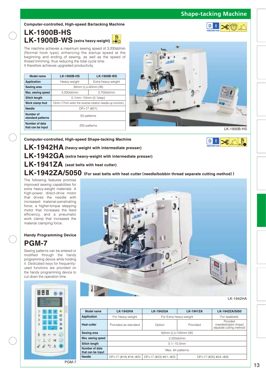### **Shape-tacking Machine**

D

D -T

#### **Computer-controlled, High-speed Bartacking Machine**

### **LK-1900B-HS**  LK-1900B-WS (extra heavy-weight) **b**

The machine achieves a maximum sewing speed of 3,200sti/min (Normal hook type), enhancing the startup speed at the beginning and ending of sewing, as well as the speed of thread trimming, thus reducing the total cycle time. It therefore achieves upgraded productivity.

| <b>Model name</b>                   | <b>LK-1900B-HS</b>                                       | <b>LK-1900B-WS</b> |  |  |
|-------------------------------------|----------------------------------------------------------|--------------------|--|--|
| Application                         | Heavy-weight                                             | Extra heavy-weight |  |  |
| Sewing area                         | 30mm (L)×40mm (W)                                        |                    |  |  |
| Max. sewing speed                   | 2.700sti/min<br>3.200sti/min                             |                    |  |  |
| <b>Stitch length</b>                | $0.1$ mm~10mm $(0.1$ step $)$                            |                    |  |  |
| Work clamp foot                     | 13mm (17mm when the reverse-rotation needle-up function) |                    |  |  |
| <b>Needle</b>                       | $DP \times 17$ (#21)                                     |                    |  |  |
| Number of<br>standard patterns      | 50 patterns                                              |                    |  |  |
| Number of data<br>that can be input | 200 patterns                                             |                    |  |  |



**LK-1942HA (heavy-weight with intermediate presser) LK-1942GA (extra heavy-weight with intermediate presser) LK-1941ZA (seat belts with heat cutter) LK-1942ZA/5050 (For seat belts with heat cutter**〈**needle/bobbin thread separate cutting method**〉**) Computer-controlled, High-speed Shape-tacking Machine**

The following features promise improved sewing capabilities for extra heavy-weight materials: A high-power, direct-drive motor that drives the needle with increased material-penetrating force; a higher-torque stepping motor that increases the feed efficiency, and a pneumatic work clamp that increases the material clamping force.

### **PGM-7 Handy Programming Device**

Sewing patterns can be entered or modified through the handy programming device while holding it. Dedicated keys for frequentlyused functions are provided on the handy programming device to cut down the operation time.





LK-1942HA

| Model name                          | <b>LK-1942HA</b>                                                               | <b>LK-1942GA</b>       | <b>LK-1941ZA</b> | LK-1942ZA/5050                                                |
|-------------------------------------|--------------------------------------------------------------------------------|------------------------|------------------|---------------------------------------------------------------|
| <b>Application</b>                  | For Heavy-weight                                                               | For Extra heavy-weight |                  | For seatbelts                                                 |
| <b>Heat cutter</b>                  | Provided as standard                                                           | Option                 | Provided         | Provided<br>(needle/bobbin thread<br>separate cutting method) |
| Sewing area                         | 60mm (L)×100mm (W)                                                             |                        |                  |                                                               |
| Max. sewing speed                   | 2.200sti/min                                                                   |                        |                  |                                                               |
| <b>Stitch length</b>                | $0.1 - 10.0$ mm                                                                |                        |                  |                                                               |
| Number of data<br>that can be input | Max. 64 patterns                                                               |                        |                  |                                                               |
| <b>Needle</b>                       | $DPx17$ (#18) #18~#20<br>$DF \times 17$ (#23) #21~#23<br>$DPx17$ (#25) #24~#26 |                        |                  |                                                               |
|                                     |                                                                                |                        |                  |                                                               |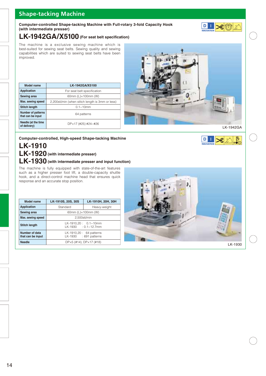### **Shape-tacking Machine**

#### **Computer-controlled Shape-tacking Machine with Full-rotary 3-fold Capacity Hook (with intermediate presser)**

### **LK-1942GA/X5100 (For seat belt specification)**

The machine is a exclusive sewing machine which is best-suited for sewing seat belts. Sewing quality and sewing capabilities which are suited to sewing seat belts have been improved.

| Model name                                     | LK-1942GA/X5100                                  |  |
|------------------------------------------------|--------------------------------------------------|--|
| <b>Application</b>                             | For seat belt specification                      |  |
| Sewing area                                    | 60mm (L)×100mm (W)                               |  |
| Max. sewing speed                              | 2,200sti/min (when stitch length is 3mm or less) |  |
| <b>Stitch length</b>                           | $0.1 - 10$ mm                                    |  |
| <b>Number of patterns</b><br>that can be input | 64 patterns                                      |  |
| Needle (at the time<br>of delivery)            | DP×17 (#25) #24~#26                              |  |



**D** I

 $\mathbf D$ 

П

 $\Box$ XIX

卧

### **Computer-controlled, High-speed Shape-tacking Machine**

### **LK-1910 LK-1920 (with intermediate presser) LK-1930 (with intermediate presser and input function)**

The machine is fully equipped with state-of-the-art features such as a higher presser foot lift, a double-capacity shuttle hook, and a direct-control machine head that ensures quick response and an accurate stop position.

| Model name                          | LK-1910S, 20S, 30S                                   | LK-1910H, 20H, 30H |
|-------------------------------------|------------------------------------------------------|--------------------|
| <b>Application</b>                  | Standard                                             | Heavy-weight       |
| Sewing area                         | 60mm (L)×100mm (W)                                   |                    |
| Max. sewing speed                   | 2,500sti/min                                         |                    |
| <b>Stitch length</b>                | $LK-1910,20: 0.1~10mm$<br>LK-1930 : 0.1~12.7mm       |                    |
| Number of data<br>that can be input | LK-1910,20 : 64 patterns<br>$LK-1930$ : 691 patterns |                    |
| <b>Needle</b>                       | $DPx5$ (#14), $DPx17$ (#18)                          |                    |

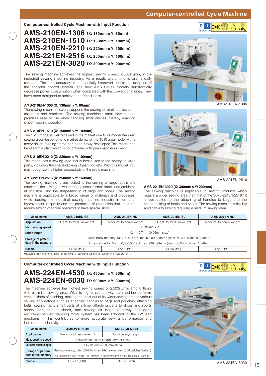### **Computer-controlled Cycle Machine**

#### **Computer-controlled Cycle Machine with Input Function**

| AMS-210EN-1306 (X: 130mm x Y: 60mm)  |
|--------------------------------------|
| AMS-210EN-1510 (X: 150mm x Y: 100mm) |
| AMS-210EN-2210 (X: 220mm x Y: 100mm) |
| AMS-221EN-2516 (X: 250mm x Y: 160mm) |
| AMS-221EN-3020 (X: 300mm x Y: 200mm) |
|                                      |

The sewing machine achieves the highest sewing speed, 2,800sti/min, in the industrial sewing machine industry. As a result, cycle time is dramatically reduced. The feed accuracy is substantially improved due to the adoption of the encoder control system. The new AMS Series models substantially decrease power consumption when compared with the conventional ones. They have been designed to achieve eco-friendliness.

#### **AMS-210EN-1306 (X: 130mm × Y: 60mm)**

The sewing machine flexibly supports the sewing of small articles such as labels and emblems. The sewing machine's small sewing area promises ease of use when handling small articles, thereby enabling smooth sewing operation.

#### **AMS-210EN-1510 (X: 150mm × Y: 100mm)**

The 1510 model is well received in the market due to its moderate-sized sewing area.Responding to market demand, the 1510 area model with a motor-driven feeding frame has been newly developed.This model can be used in a plant which is not provided with pneumatic equipment.

#### **AMS-210EN-2210 (X: 220mm × Y: 100mm)**

This model has a sewing area that is best-suited to the sewing of large parts, including the shape-tacking of jean pockets. With this model, you may recognize the higher productivity of the cycle machine.

#### **AMS-221EN-2516 (X: 250mm × Y: 160mm)**

The sewing machine is best-suited to the sewing of large labels and emblems, the sewing of two or more pieces of small labels and emblems at one time, and the shape-tacking of bags and shoes. The sewing machine is applicable to a broad range of materials and processes, while leading the industrial sewing machine industry in terms of improvement in quality and the promotion of production that does not require sewing-machine operators to have special skills.



AMS-210EN-1306



AMS-221EN-2516

#### **AMS-221EN-3020 (X: 300mm × Y: 200mm)**

The sewing machine is applicable to sewing products which require a wider sewing area than that of the "AMS-221EN-2516." It is best-suited to the attaching of handles to bags and the shape-tacking of boots and shoes. The sewing machine is flexibly applicable to sewing requiring a medium sewing area.

| Model name                                                                           | AMS-210EN-SS                                                                               | AMS-210EN-HS            | AMS-221EN-SL            | AMS-221EN-HL            |
|--------------------------------------------------------------------------------------|--------------------------------------------------------------------------------------------|-------------------------|-------------------------|-------------------------|
| Application                                                                          | Light- to medium-weight                                                                    | Medium- to heavy-weight | Light- to medium-weight | Medium- to heavy-weight |
| Max. sewing speed                                                                    |                                                                                            | 2.800sti/min*           |                         |                         |
| <b>Stitch length</b>                                                                 | $0.1 - 12.7$ mm (0.05mm step)                                                              |                         |                         |                         |
| Storage of pattern                                                                   | Main-body memory: Max. 500,000 stitches, 999 patterns (max. 50,000 stitches / pattern)     |                         |                         |                         |
| data in the memory                                                                   | External media: Max. 50,000,000 stitches, 999 patterns (max. 50,000 stitches / pattern)    |                         |                         |                         |
| <b>Needle</b>                                                                        | $DP \times 17$ (#18)<br>$DP \times 5$ (#14)<br>$DP \times 5$ (#14)<br>$DP \times 17$ (#18) |                         |                         |                         |
| *Stitch length is 4mm or less for the AMS-210EN and 3.5mm or less for the AMS-221EN. |                                                                                            |                         |                         |                         |

#### **Computer-controlled Cycle Machine with Input Function**

### **AMS-224EN-4530 (X: 450mm × Y: 300mm) AMS-224EN-6030 (X: 600mm × Y: 300mm)**

The machine achieves the highest sewing speed of 2,500sti/min among those with a similar sewing area. With its higher productivity, the machine performs various kinds of stitching, making the most out of its wider sewing area in various sewing applications such as attaching handles to bags and pouches, attaching belts, sewing many small parts at a time, attaching parts to shoes and sports shoes (one pair of shoes) and sewing air bags. A newly developed encoder-controlled stepping motor system has been adopted for the X-Y feed mechanism. This contributes to more accurate sewing performance and increased productivity.

| Model name             | AMS-224EN-HS                                                                            | AMS-224EN-GB         |  |
|------------------------|-----------------------------------------------------------------------------------------|----------------------|--|
| <b>Application</b>     | Medium- to heavy-weight                                                                 | Extra heavy-weight   |  |
| Max. sewing speed      | 2,500sti/min (stitch length 3mm or less)                                                |                      |  |
| Settable stitch length | $0.1 - 12.7$ mm (0.05mm step)                                                           |                      |  |
| Storage of pattern     | Main-body memory: Max. 500,000 stitches, 999 patterns (max. 50,000 stitches / pattern)  |                      |  |
| data in the memory     | External media: Max. 50,000,000 stitches, 999 patterns (max. 50,000 stitches / pattern) |                      |  |
| <b>Needle</b>          | $DPx17$ (#18)                                                                           | $DP \times 17$ (#23) |  |



 $\mathbf{D}$ 

 $\mathbb{L}$   $\mathbb{R}$   $\mathbb{R}$ 

 $\frac{1}{\left|\mathbf{x}\cdot\mathbf{v}\right|}$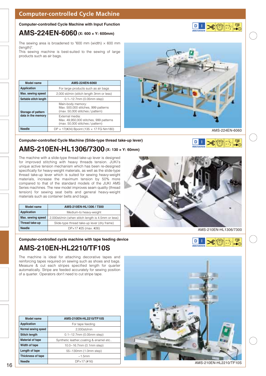### **Computer-controlled Cycle Machine**

#### **Computer-controlled Cycle Machine with Input Function**

### **AMS-224EN-6060 (X: 600 × Y: 600mm)**

The sewing area is broadened to "600 mm (width)  $\times$  600 mm (length)".

This sewing machine is best-suited to the sewing of large products such as air bags.

| Model name                               | AMS-224EN-6060                                                                                |
|------------------------------------------|-----------------------------------------------------------------------------------------------|
| <b>Application</b>                       | For large products such as air bags                                                           |
| Max. sewing speed                        | 2,000 sti/min (stitch length 3mm or less)                                                     |
| Settable stitch length                   | $0.1 - 12.7$ mm (0.05mm step)                                                                 |
| Storage of pattern<br>data in the memory | Main-body memory:<br>Max. 500,000 stitches, 999 patterns<br>(max. 50,000 stitches / pattern)  |
|                                          | External media:<br>Max. 49,950,000 stitches, 999 patterns<br>(max. 50,000 stitches / pattern) |
| <b>Needle</b>                            | $DP \times 17$ (#24) Bpoint (135 $\times$ 17 FG Nm180)                                        |

**Computer-controlled Cycle Machine (Slide-type thread take-up lever)**

### **AMS-210EN-HL1306/7300 (X: 130 × Y: 60mm)**

The machine with a slide-type thread take-up lever is designed for improved stitching with heavy threads tension. JUKI's unique active tension mechanism which has been re-designed specifically for heavy-weight materials, as well as the slide-type thread take-up lever which is suited for sewing heavy-weight materials, increase the maximum tension by 50% more compared to that of the standard models of the JUKI AMS Series machines. The new model improves seam quality (thread tension) for sewing seat belts and general heavy-weight materials such as container belts and bags.

| Model name         | AMS-210EN-HL1306 / 7300                            |  |
|--------------------|----------------------------------------------------|--|
| <b>Application</b> | Medium-to heavy-weight                             |  |
| Max. sewing speed  | 2,000sti/min (when stitch length is 4.5mm or less) |  |
| Thread take-up     | Slide-type thread take-up lever (dry frame)        |  |
| <b>Needle</b>      | $DPx17$ #25 (max. #26)                             |  |

#### **Computer-controlled cycle machine with tape feeding device**

### **AMS-210EN-HL2210/TF10S**

The machine is ideal for attaching decorative tapes and reinforcing tapes required on sewing such as shoes and bags. Measure & cut each stripes specified length for quarter automatically. Stripe are feeded accurately for sewing position of a quarter. Operators don't need to cut stripe tape.

| Model name               | AMS-210EN-HL2210/TF10S                  |  |
|--------------------------|-----------------------------------------|--|
| <b>Application</b>       | For tape feeding                        |  |
| Normal sewing speed      | 2,000sti/min                            |  |
| <b>Stitch length</b>     | $0.1 - 12.7$ mm (0.05 mm step)          |  |
| Material of tape         | Synthetic leather, coating & enamel etc |  |
| Width of tape            | 10.0~16.7mm (0.1mm step)                |  |
| Length of tape           | 55~130mm (1.0mm step)                   |  |
| <b>Thickness of tape</b> | $\sim$ 1.5mm                            |  |
| <b>Needle</b>            | $DP \times 17$ (#16)                    |  |



AMS-210EN-HL2210/TF10S







AMS-224EN-6060



LB®FR®  $\mathbf{D}$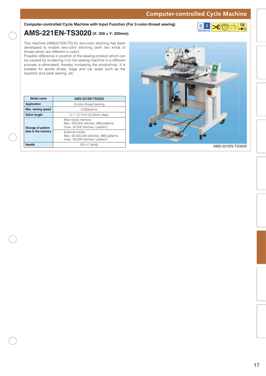### **Computer-controlled Cycle Machine**

#### **Computer-controlled Cycle Machine with Input Function (For 2-color-thread sewing)**



### **AMS-221EN-TS3020 (X: 300 × Y: 200mm)**

This machine (AMS221EN-TS) for two-color stitching has been developed to enable two-color stitching (with two kinds of thread which are different in color).

Possible difference in position of the sewing product which can be caused by re-placing it on the sewing machine in a different process is eliminated, thereby increasing the productivity. It is suitable for sports shoes, bags and car seats such as the topstitch and parts sewing, etc.

| Model name                               | <b>AMS-221EN-TS3020</b>                                                                       |
|------------------------------------------|-----------------------------------------------------------------------------------------------|
| <b>Application</b>                       | 2-color-thread sewing                                                                         |
| Max. sewing speed                        | 2.500sti/min                                                                                  |
| <b>Stitch length</b>                     | $0.1 - 12.7$ mm (0.05mm step)                                                                 |
| Storage of pattern<br>data in the memory | Main-body memory:<br>Max. 500,000 stitches, 999 patterns<br>(max. 50,000 stitches / pattern)  |
|                                          | External media:<br>Max. 50,000,000 stitches, 999 patterns<br>(max. 50,000 stitches / pattern) |
| <b>Needle</b>                            | $DP \times 17$ (#18)                                                                          |



AMS-221EN-TS3020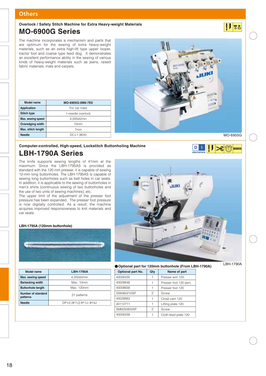### **Others**

### **MO-6900G Series Overlock / Safety Stitch Machine for Extra Heavy-weight Materials**

The machine incorporates a mechanism and parts that are optimum for the sewing of extra heavy-weight materials, such as an extra high-lift type upper looper, tractor foot and coarse type feed dog. It demonstrates an excellent performance ability in the sewing of various kinds of heavy-weight materials such as jeans, raised fabric materials, mats and carpets.



 $\mathbf{D}$ T.

| Model name              | MO-6905G-0M6-7E0    |
|-------------------------|---------------------|
| <b>Application</b>      | For car mats        |
| <b>Stitch type</b>      | 1-needle overlock   |
| Max. sewing speed       | 4,000sti/min        |
| <b>Overedging width</b> | 10 <sub>mm</sub>    |
| Max. stitch length      | 7 <sub>mm</sub>     |
| <b>Needle</b>           | $DC \times 1$ (#24) |

 $8$ 

 $|| \cdot ||$   $|| \cdot ||$ 

### **LBH-1790A Series Computer-controlled, High-speed, Lockstitch Buttonholing Machine**

The knife supports sewing lengths of 41mm at the maximum. Since the LBH-1795AS is provided as standard with the 120 mm presser, it is capable of sewing 12-mm long buttonholes. The LBH-1795AS is capable of sewing long buttonholes such as belt holes in car seats. In addition, it is applicable to the sewing of buttonholes in men's shirts (continuous sewing of two buttonholes and the use of two units of sewing machines), etc.

The upper limit of the adjustment of the presser foot pressure has been expanded. The presser foot pressure is now digitally controlled. As a result, the machine acquires improved responsiveness to knit materials and car seats.

#### **LBH-1795A (120mm buttonhole)**



| <b>Model name</b>              | <b>LBH-1790A</b>      |
|--------------------------------|-----------------------|
| Max. sewing speed              | 4.200sti/min          |
| <b>Bartacking width</b>        | Max. 10mm             |
| <b>Buttonhole length</b>       | Max. 120mm            |
| Number of standard<br>patterns | 31 patterns           |
| <b>Needle</b>                  | DP×5 (#11J) #11J~#14J |
|                                |                       |



**Optional part for 120mm buttonhole (From LBH-1790A)**

| LBH-1790A |  |
|-----------|--|
|-----------|--|

| Optional part No. | Qty | Name of part          |
|-------------------|-----|-----------------------|
| 40006335          |     | Presser arm 120       |
| 40008646          |     | Presser foot 120 asm. |
| 40008658          |     | Presser foot 120      |
| SS6060210SP       | 2   | Screw                 |
| 40028682          |     | Close cam 120         |
| 40112711          | 1   | Lifting plate 120     |
| SM6050800SP       | 2   | Screw                 |
| 40006339          |     | Cloth feed plate 120  |
|                   |     |                       |

18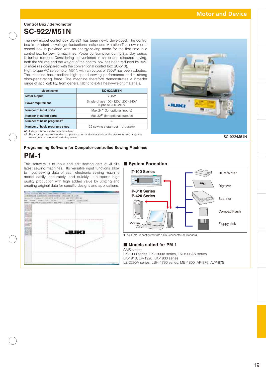### **Control Box / Servomotor SC-922/M51N**

The new model control box SC-921 has been newly developed. The control box is resistant to voltage fluctuations, noise and vibration.The new model control box is provided with an energy-saving mode for the first time in a control box for sewing machines. Power consumption during standby period is further reduced.Considering convenience in setup and resource saving, both the volume and the weight of the control box has been reduced by 30% or more (as compared with the conventional control box SC-510).

High-torque AC servomotor M51N with an output of 750W has been adopted. The machine has excellent high-speed sewing performance and a strong cloth-penetrating force. The machine therefore demonstrates a broader range of applicability, from general fabric to extra heavy-weight materials.

| Model name                     | <b>SC-922/M51N</b>                                  |
|--------------------------------|-----------------------------------------------------|
| <b>Motor output</b>            | 750W                                                |
| <b>Power requirement</b>       | Single-phase 100~120V, 200~240V<br>3-phase 200~240V |
| Number of input ports          | $Max.24*1$ (for optional inputs)                    |
| Number of output ports         | Max.32 <sup>*1</sup> (for optional outputs)         |
| Number of basic programs*2     | 4                                                   |
| Number of basic programs steps | 25 sewing steps (per 1 program)                     |



✽1 It depends on installed machine head. ✽2 Basic programs are intended to operate external devices such as the stacker or to change the sewing machine operation during sewing.

SC-922/M51N

#### **Programming Software for Computer-controlled Sewing Machines**

### **PM-1**

This software is to input and edit sewing data of JUKI's latest sewing machines. Its versatile input functions allow to input sewing data of each electronic sewing machine model easily, accurately, and quickly. It supports high quality production with high added value by utilizing and creating original data for specific designs and applications.





✽The IP-420 is configured with a USB connector, as standard.

#### **Models suited for PM-1**

**System Formation** 

AMS series LK-1900 series, LK-1900A series, LK-1900AN series LK-1910, LK-1920, LK-1930 series LZ-2290A series, LBH-1790 series, MB-1800, AP-876, AVP-875